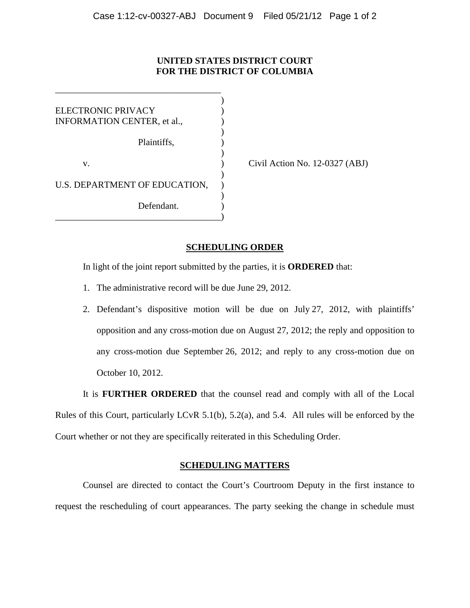## **UNITED STATES DISTRICT COURT FOR THE DISTRICT OF COLUMBIA**

) ELECTRONIC PRIVACY ) INFORMATION CENTER, et al., ) Plaintiffs, ) ) v. **(a)** Civil Action No. 12-0327 (ABJ) ) U.S. DEPARTMENT OF EDUCATION, ) Defendant. \_\_\_\_\_\_\_\_\_\_\_\_\_\_\_\_\_\_\_\_\_\_\_\_\_\_\_\_\_\_\_\_\_\_\_\_)

\_\_\_\_\_\_\_\_\_\_\_\_\_\_\_\_\_\_\_\_\_\_\_\_\_\_\_\_\_\_\_\_\_\_\_\_

# **SCHEDULING ORDER**

In light of the joint report submitted by the parties, it is **ORDERED** that:

- 1. The administrative record will be due June 29, 2012.
- 2. Defendant's dispositive motion will be due on July 27, 2012, with plaintiffs' opposition and any cross-motion due on August 27, 2012; the reply and opposition to any cross-motion due September 26, 2012; and reply to any cross-motion due on October 10, 2012.

It is **FURTHER ORDERED** that the counsel read and comply with all of the Local Rules of this Court, particularly LCvR 5.1(b), 5.2(a), and 5.4. All rules will be enforced by the Court whether or not they are specifically reiterated in this Scheduling Order.

### **SCHEDULING MATTERS**

Counsel are directed to contact the Court's Courtroom Deputy in the first instance to request the rescheduling of court appearances. The party seeking the change in schedule must